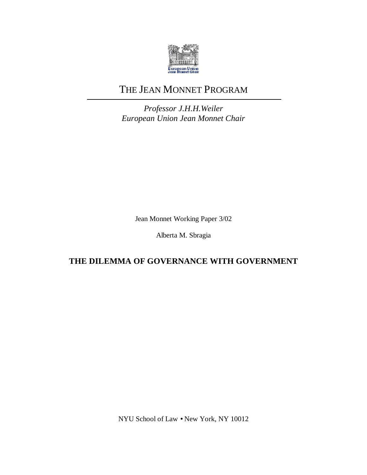

# THE JEAN MONNET PROGRAM

*Professor J.H.H.Weiler European Union Jean Monnet Chair*

Jean Monnet Working Paper 3/02

Alberta M. Sbragia

## **THE DILEMMA OF GOVERNANCE WITH GOVERNMENT**

NYU School of Law • New York, NY 10012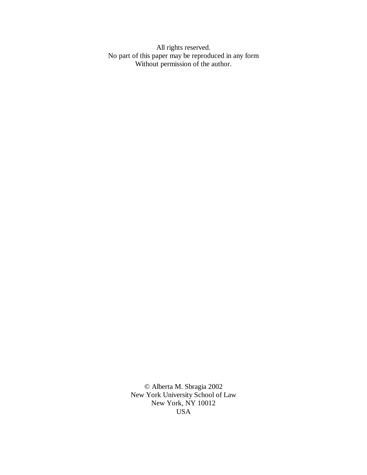All rights reserved. No part of this paper may be reproduced in any form Without permission of the author.

> © Alberta M. Sbragia 2002 New York University School of Law New York, NY 10012 USA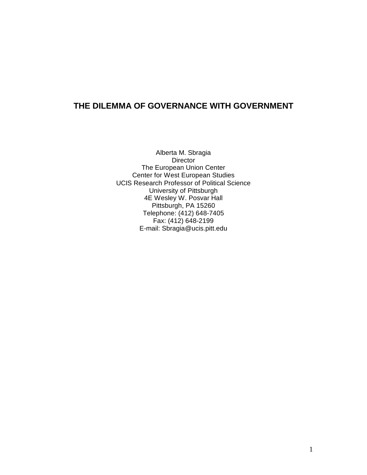### **THE DILEMMA OF GOVERNANCE WITH GOVERNMENT**

Alberta M. Sbragia Director The European Union Center Center for West European Studies UCIS Research Professor of Political Science University of Pittsburgh 4E Wesley W. Posvar Hall Pittsburgh, PA 15260 Telephone: (412) 648-7405 Fax: (412) 648-2199 E-mail: Sbragia@ucis.pitt.edu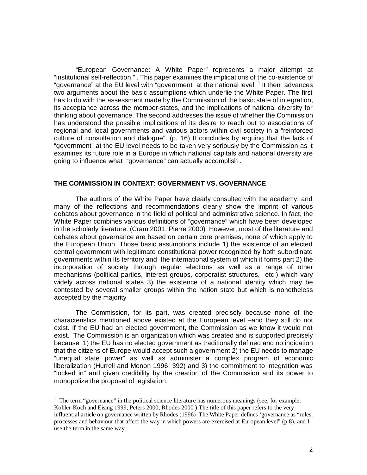"European Governance: A White Paper" represents a major attempt at "institutional self-reflection." . This paper examines the implications of the co-existence of "governance" at the EU level with "government" at the national level. <sup>1</sup> It then advances two arguments about the basic assumptions which underlie the White Paper. The first has to do with the assessment made by the Commission of the basic state of integration, its acceptance across the member-states, and the implications of national diversity for thinking about governance. The second addresses the issue of whether the Commission has understood the possible implications of its desire to reach out to associations of regional and local governments and various actors within civil society in a "reinforced culture of consultation and dialogue". (p. 16) It concludes by arguing that the lack of "government" at the EU level needs to be taken very seriously by the Commission as it examines its future role in a Europe in which national capitals and national diversity are going to influence what "governance" can actually accomplish .

#### **THE COMMISSION IN CONTEXT**: **GOVERNMENT VS. GOVERNANCE**

The authors of the White Paper have clearly consulted with the academy, and many of the reflections and recommendations clearly show the imprint of various debates about governance in the field of political and administrative science. In fact, the White Paper combines various definitions of "governance" which have been developed in the scholarly literature. (Cram 2001; Pierre 2000) However, most of the literature and debates about governance are based on certain core premises, none of which apply to the European Union. Those basic assumptions include 1) the existence of an elected central government with legitimate constitutional power recognized by both subordinate governments within its territory and the international system of which it forms part 2) the incorporation of society through regular elections as well as a range of other mechanisms (political parties, interest groups, corporatist structures, etc.) which vary widely across national states 3) the existence of a national identity which may be contested by several smaller groups within the nation state but which is nonetheless accepted by the majority

The Commission, for its part, was created precisely because none of the characteristics mentioned above existed at the European level –and they still do not exist. If the EU had an elected government, the Commission as we know it would not exist. The Commission is an organization which was created and is supported precisely because 1) the EU has no elected government as traditionally defined and no indication that the citizens of Europe would accept such a government 2) the EU needs to manage "unequal state power" as well as administer a complex program of economic liberalization (Hurrell and Menon 1996: 392) and 3) the commitment to integration was "locked in" and given credibility by the creation of the Commission and its power to monopolize the proposal of legislation.

The term "governance" in the political science literature has numerous meanings (see, for example, Kohler-Koch and Eising 1999; Peters 2000; Rhodes 2000 ) The title of this paper refers to the very influential article on governance written by Rhodes (1996) The White Paper defines 'governance as "rules, processes and behaviour that affect the way in which powers are exercised at European level" (p.8), and I use the term in the same way.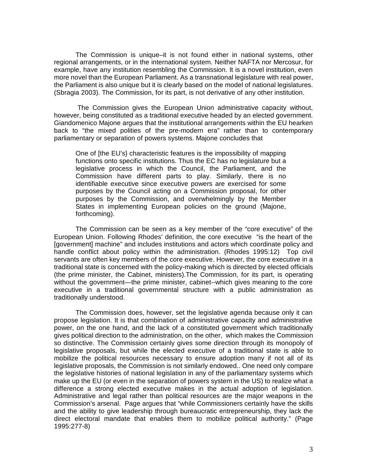The Commission is unique–it is not found either in national systems, other regional arrangements, or in the international system. Neither NAFTA nor Mercosur, for example, have any institution resembling the Commission. It is a novel institution, even more novel than the European Parliament. As a transnational legislature with real power, the Parliament is also unique but it is clearly based on the model of national legislatures. (Sbragia 2003). The Commission, for its part, is not derivative of any other institution.

 The Commission gives the European Union administrative capacity without, however, being constituted as a traditional executive headed by an elected government. Giandomenico Majone argues that the institutional arrangements within the EU hearken back to "the mixed polities of the pre-modern era" rather than to contemporary parliamentary or separation of powers systems. Majone concludes that

One of [the EU's} characteristic features is the impossibility of mapping functions onto specific institutions. Thus the EC has no legislature but a legislative process in which the Council, the Parliament, and the Commission have different parts to play. Similarly, there is no identifiable executive since executive powers are exercised for some purposes by the Council acting on a Commission proposal, for other purposes by the Commission, and overwhelmingly by the Member States in implementing European policies on the ground (Majone, forthcoming).

The Commission can be seen as a key member of the "core executive" of the European Union. Following Rhodes' definition, the core executive "is the heart of the [government] machine" and includes institutions and actors which coordinate policy and handle conflict about policy within the administration. (Rhodes 1995:12) Top civil servants are often key members of the core executive. However, the core executive in a traditional state is concerned with the policy-making which is directed by elected officials (the prime minister, the Cabinet, ministers).The Commission, for its part, is operating without the government— the prime minister, cabinet--which gives meaning to the core executive in a traditional governmental structure with a public administration as traditionally understood.

The Commission does, however, set the legislative agenda because only it can propose legislation. It is that combination of administrative capacity and administrative power, on the one hand, and the lack of a constituted government which traditionally gives political direction to the administration, on the other, which makes the Commission so distinctive. The Commission certainly gives some direction through its monopoly of legislative proposals, but while the elected executive of a traditional state is able to mobilize the political resources necessary to ensure adoption many if not all of its legislative proposals, the Commission is not similarly endowed.. One need only compare the legislative histories of national legislation in any of the parliamentary systems which make up the EU (or even in the separation of powers system in the US) to realize what a difference a strong elected executive makes in the actual adoption of legislation. Administrative and legal rather than political resources are the major weapons in the Commission's arsenal. Page argues that "while Commissioners certainly have the skills and the ability to give leadership through bureaucratic entrepreneurship, they lack the direct electoral mandate that enables them to mobilize political authority." (Page 1995:277-8)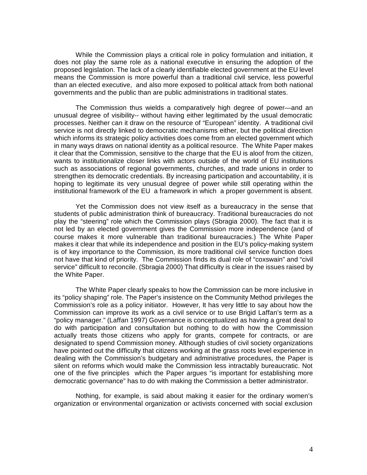While the Commission plays a critical role in policy formulation and initiation, it does not play the same role as a national executive in ensuring the adoption of the proposed legislation. The lack of a clearly identifiable elected government at the EU level means the Commission is more powerful than a traditional civil service, less powerful than an elected executive, and also more exposed to political attack from both national governments and the public than are public administrations in traditional states.

The Commission thus wields a comparatively high degree of power— and an unusual degree of visibility-- without having either legitimated by the usual democratic processes. Neither can it draw on the resource of "European" identity. A traditional civil service is not directly linked to democratic mechanisms either, but the political direction which informs its strategic policy activities does come from an elected government which in many ways draws on national identity as a political resource. The White Paper makes it clear that the Commission, sensitive to the charge that the EU is aloof from the citizen, wants to institutionalize closer links with actors outside of the world of EU institutions such as associations of regional governments, churches, and trade unions in order to strengthen its democratic credentials. By increasing participation and accountability, it is hoping to legitimate its very unusual degree of power while still operating within the institutional framework of the EU a framework in which a proper government is absent.

Yet the Commission does not view itself as a bureaucracy in the sense that students of public administration think of bureaucracy. Traditional bureaucracies do not play the "steering" role which the Commission plays (Sbragia 2000). The fact that it is not led by an elected government gives the Commission more independence (and of course makes it more vulnerable than traditional bureaucracies.) The White Paper makes it clear that while its independence and position in the EU's policy-making system is of key importance to the Commission, its more traditional civil service function does not have that kind of priority. The Commission finds its dual role of "coxswain" and "civil service" difficult to reconcile. (Sbragia 2000) That difficulty is clear in the issues raised by the White Paper.

The White Paper clearly speaks to how the Commission can be more inclusive in its "policy shaping" role. The Paper's insistence on the Community Method privileges the Commission's role as a policy initiator. However, It has very little to say about how the Commission can improve its work as a civil service or to use Brigid Laffan's term as a "policy manager." (Laffan 1997) Governance is conceptualized as having a great deal to do with participation and consultation but nothing to do with how the Commission actually treats those citizens who apply for grants, compete for contracts, or are designated to spend Commission money. Although studies of civil society organizations have pointed out the difficulty that citizens working at the grass roots level experience in dealing with the Commission's budgetary and administrative procedures, the Paper is silent on reforms which would make the Commission less intractably bureaucratic. Not one of the five principles which the Paper argues "is important for establishing more democratic governance" has to do with making the Commission a better administrator.

Nothing, for example, is said about making it easier for the ordinary women's organization or environmental organization or activists concerned with social exclusion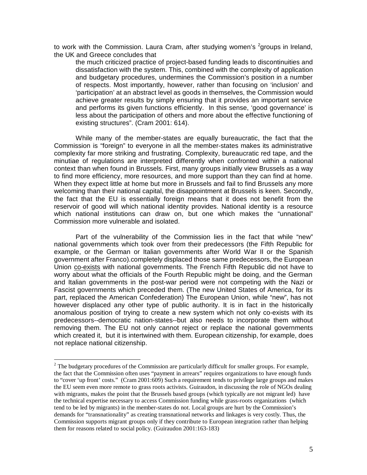to work with the Commission. Laura Cram, after studying women's <sup>2</sup>groups in Ireland, the UK and Greece concludes that

the much criticized practice of project-based funding leads to discontinuities and dissatisfaction with the system. This, combined with the complexity of application and budgetary procedures, undermines the Commission's position in a number of respects. Most importantly, however, rather than focusing on 'inclusion' and 'participation' at an abstract level as goods in themselves, the Commission would achieve greater results by simply ensuring that it provides an important service and performs its given functions efficiently. In this sense, 'good governance' is less about the participation of others and more about the effective functioning of existing structures". (Cram 2001: 614).

While many of the member-states are equally bureaucratic, the fact that the Commission is "foreign" to everyone in all the member-states makes its administrative complexity far more striking and frustrating. Complexity, bureaucratic red tape, and the minutiae of regulations are interpreted differently when confronted within a national context than when found in Brussels. First, many groups initially view Brussels as a way to find more efficiency, more resources, and more support than they can find at home. When they expect little at home but more in Brussels and fail to find Brussels any more welcoming than their national capital, the disappointment at Brussels is keen. Secondly, the fact that the EU is essentially foreign means that it does not benefit from the reservoir of good will which national identity provides. National identity is a resource which national institutions can draw on, but one which makes the "unnational" Commission more vulnerable and isolated.

Part of the vulnerability of the Commission lies in the fact that while "new" national governments which took over from their predecessors (the Fifth Republic for example, or the German or Italian governments after World War II or the Spanish government after Franco).completely displaced those same predecessors, the European Union co-exists with national governments. The French Fifth Republic did not have to worry about what the officials of the Fourth Republic might be doing, and the German and Italian governments in the post-war period were not competing with the Nazi or Fascist governments which preceded them. (The new United States of America, for its part, replaced the American Confederation) The European Union, while "new", has not however displaced any other type of public authority. It is in fact in the historically anomalous position of trying to create a new system which not only co-exists with its predecessors--democratic nation-states--but also needs to incorporate them without removing them. The EU not only cannot reject or replace the national governments which created it, but it is intertwined with them. European citizenship, for example, does not replace national citizenship.

<u>.</u>

 $2$  The budgetary procedures of the Commission are particularly difficult for smaller groups. For example, the fact that the Commission often uses "payment in arrears" requires organizations to have enough funds to "cover 'up front' costs." (Cram 2001:609) Such a requirement tends to privilege large groups and makes the EU seem even more remote to grass roots activists. Guiraudon, in discussing the role of NGOs dealing with migrants, makes the point that the Brussels based groups (which typically are not migrant led) have the technical expertise necessary to access Commission funding while grass-roots organizations (which tend to be led by migrants) in the member-states do not. Local groups are hurt by the Commission's demands for "transnationality" as creating transnational networks and linkages is very costly. Thus, the Commission supports migrant groups only if they contribute to European integration rather than helping them for reasons related to social policy. (Guiraudon 2001:163-183)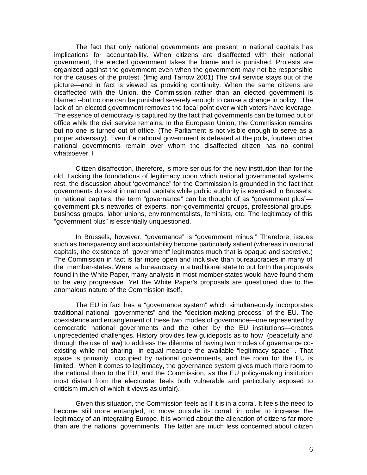The fact that only national governments are present in national capitals has implications for accountability. When citizens are disaffected with their national government, the elected government takes the blame and is punished. Protests are organized against the government even when the government may not be responsible for the causes of the protest. (Imig and Tarrow 2001) The civil service stays out of the picture— and in fact is viewed as providing continuity. When the same citizens are disaffected with the Union, the Commission rather than an elected government is blamed --but no one can be punished severely enough to cause a change in policy. The lack of an elected government removes the focal point over which voters have leverage. The essence of democracy is captured by the fact that governments can be turned out of office while the civil service remains. In the European Union, the Commission remains but no one is turned out of office. (The Parliament is not visible enough to serve as a proper adversary). Even if a national government is defeated at the polls, fourteen other national governments remain over whom the disaffected citizen has no control whatsoever. I

Citizen disaffection, therefore, is more serious for the new institution than for the old. Lacking the foundations of legitimacy upon which national governmental systems rest, the discussion about 'governance" for the Commission is grounded in the fact that governments do exist in national capitals while public authority is exercised in Brussels. In national capitals, the term "governance" can be thought of as "government plus" government plus networks of experts, non-governmental groups, professional groups, business groups, labor unions, environmentalists, feminists, etc. The legitimacy of this "government plus" is essentially unquestioned.

In Brussels, however, "governance" is "government minus." Therefore, issues such as transparency and accountability become particularly salient (whereas in national capitals, the existence of "government" legitimates much that is opaque and secretive.) The Commission in fact is far more open and inclusive than bureaucracies in many of the member-states. Were a bureaucracy in a traditional state to put forth the proposals found in the White Paper, many analysts in most member-states would have found them to be very progressive. Yet the White Paper's proposals are questioned due to the anomalous nature of the Commission itself.

The EU in fact has a "governance system" which simultaneously incorporates traditional national "governments" and the "decision-making process" of the EU. The coexistence and entanglement of these two modes of governance— one represented by democratic national governments and the other by the EU institutions— creates unprecedented challenges. History provides few guideposts as to how (peacefully and through the use of law) to address the dilemma of having two modes of governance coexisting while not sharing in equal measure the available "legitimacy space" . That space is primarily occupied by national governments, and the room for the EU is limited.. When it comes to legitimacy, the governance system gives much more room to the national than to the EU, and the Commission, as the EU policy-making institution most distant from the electorate, feels both vulnerable and particularly exposed to criticism (much of which it views as unfair).

Given this situation, the Commission feels as if it is in a corral. It feels the need to become still more entangled, to move outside its corral, in order to increase the legitimacy of an integrating Europe. It is worried about the alienation of citizens far more than are the national governments. The latter are much less concerned about citizen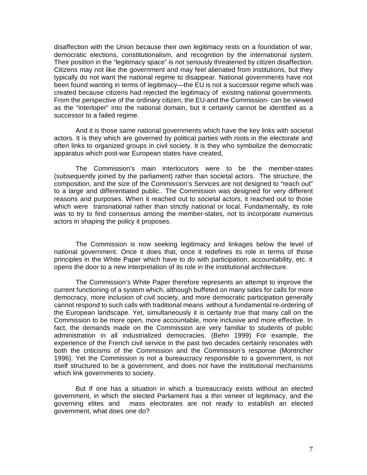disaffection with the Union because their own legitimacy rests on a foundation of war, democratic elections, constitutionalism, and recognition by the international system. Their position in the "legitimacy space" is not seriously threatened by citizen disaffection. Citizens may not like the government and may feel alienated from institutions, but they typically do not want the national regime to disappear. National governments have not been found wanting in terms of legitimacy— the EU is not a successor regime which was created because citizens had rejected the legitimacy of existing national governments. From the perspective of the ordinary citizen, the EU-and the Commission- can be viewed as the "interloper" into the national domain, but it certainly cannot be identified as a successor to a failed regime.

And it is those same national governments which have the key links with societal actors. It is they which are governed by political parties with roots in the electorate and often links to organized groups in civil society. It is they who symbolize the democratic apparatus which post-war European states have created,

The Commission's main interlocutors were to be the member-states (subsequently joined by the parliament) rather than societal actors. The structure, the composition, and the size of the Commission's Services are not designed to "reach out" to a large and differentiated public.. The Commission was designed for very different reasons and purposes. When it reached out to societal actors, it reached out to those which were transnational rather than strictly national or local. Fundamentally, its role was to try to find consensus among the member-states, not to incorporate numerous actors in shaping the policy it proposes.

The Commission is now seeking legitimacy and linkages below the level of national government. Once it does that, once it redefines its role in terms of those principles in the White Paper which have to do with participation, accountability, etc. it opens the door to a new interpretation of its role in the institutional architecture.

The Commission's White Paper therefore represents an attempt to improve the current functioning of a system which, although buffeted on many sides for calls for more democracy, more inclusion of civil society, and more democratic participation generally cannot respond to such calls with traditional means without a fundamental re-ordering of the European landscape. Yet, simultaneously it is certainly true that many call on the Commission to be more open, more accountable, more inclusive and more effective. In fact, the demands made on the Commission are very familiar to students of public administration in all industrialized democracies. (Behn 1999) For example, the experience of the French civil service in the past two decades certainly resonates with both the criticisms of the Commission and the Commission's response (Montricher 1996). Yet the Commission is not a bureaucracy responsible to a government, is not itself structured to be a government, and does not have the institutional mechanisms which link governments to society.

But If one has a situation in which a bureaucracy exists without an elected government, in which the elected Parliament has a thin veneer of legitimacy, and the governing elites and mass electorates are not ready to establish an elected government, what does one do?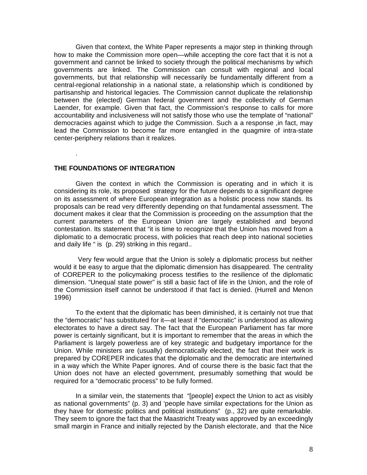Given that context, the White Paper represents a major step in thinking through how to make the Commission more open— while accepting the core fact that it is not a government and cannot be linked to society through the political mechanisms by which governments are linked. The Commission can consult with regional and local governments, but that relationship will necessarily be fundamentally different from a central-regional relationship in a national state, a relationship which is conditioned by partisanship and historical legacies. The Commission cannot duplicate the relationship between the (elected) German federal government and the collectivity of German Laender, for example. Given that fact, the Commission's response to calls for more accountability and inclusiveness will not satisfy those who use the template of "national" democracies against which to judge the Commission. Such a a response ,in fact, may lead the Commission to become far more entangled in the quagmire of intra-state center-periphery relations than it realizes.

#### **THE FOUNDATIONS OF INTEGRATION**

.

Given the context in which the Commission is operating and in which it is considering its role, its proposed strategy for the future depends to a significant degree on its assessment of where European integration as a holistic process now stands. Its proposals can be read very differently depending on that fundamental assessment. The document makes it clear that the Commission is proceeding on the assumption that the current parameters of the European Union are largely established and beyond contestation. Its statement that "it is time to recognize that the Union has moved from a diplomatic to a democratic process, with policies that reach deep into national societies and daily life " is (p. 29) striking in this regard..

 Very few would argue that the Union is solely a diplomatic process but neither would it be easy to argue that the diplomatic dimension has disappeared. The centrality of COREPER to the policymaking process testifies to the resilience of the diplomatic dimension. "Unequal state power" is still a basic fact of life in the Union, and the role of the Commission itself cannot be understood if that fact is denied. (Hurrell and Menon 1996)

To the extent that the diplomatic has been diminished, it is certainly not true that the "democratic" has substituted for it— at least if "democratic" is understood as allowing electorates to have a direct say. The fact that the European Parliament has far more power is certainly significant, but it is important to remember that the areas in which the Parliament is largely powerless are of key strategic and budgetary importance for the Union. While ministers are (usually) democratically elected, the fact that their work is prepared by COREPER indicates that the diplomatic and the democratic are intertwined in a way which the White Paper ignores. And of course there is the basic fact that the Union does not have an elected government, presumably something that would be required for a "democratic process" to be fully formed.

In a similar vein, the statements that "[people] expect the Union to act as visibly as national governments" (p. 3) and 'people have similar expectations for the Union as they have for domestic politics and political institutions" (p., 32) are quite remarkable. They seem to ignore the fact that the Maastricht Treaty was approved by an exceedingly small margin in France and initially rejected by the Danish electorate, and that the Nice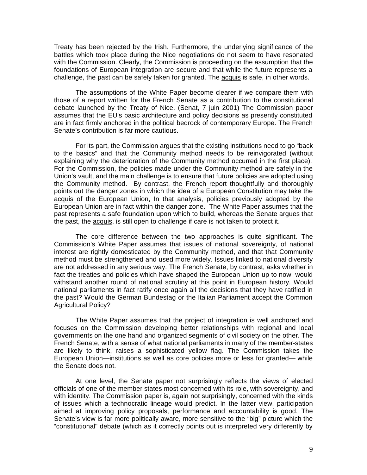Treaty has been rejected by the Irish. Furthermore, the underlying significance of the battles which took place during the Nice negotiations do not seem to have resonated with the Commission. Clearly, the Commission is proceeding on the assumption that the foundations of European integration are secure and that while the future represents a challenge, the past can be safely taken for granted. The acquis is safe, in other words.

The assumptions of the White Paper become clearer if we compare them with those of a report written for the French Senate as a contribution to the constitutional debate launched by the Treaty of Nice. (Senat, 7 juin 2001) The Commission paper assumes that the EU's basic architecture and policy decisions as presently constituted are in fact firmly anchored in the political bedrock of contemporary Europe. The French Senate's contribution is far more cautious.

For its part, the Commission argues that the existing institutions need to go "back to the basics" and that the Community method needs to be reinvigorated (without explaining why the deterioration of the Community method occurred in the first place). For the Commission, the policies made under the Community method are safely in the Union's vault, and the main challenge is to ensure that future policies are adopted using the Community method. By contrast, the French report thoughtfully and thoroughly points out the danger zones in which the idea of a European Constitution may take the acquis of the European Union, In that analysis, policies previously adopted by the European Union are in fact within the danger zone. The White Paper assumes that the past represents a safe foundation upon which to build, whereas the Senate argues that the past, the acquis, is still open to challenge if care is not taken to protect it.

The core difference between the two approaches is quite significant. The Commission's White Paper assumes that issues of national sovereignty, of national interest are rightly domesticated by the Community method, and that that Community method must be strengthened and used more widely. Issues linked to national diversity are not addressed in any serious way. The French Senate, by contrast, asks whether in fact the treaties and policies which have shaped the European Union up to now would withstand another round of national scrutiny at this point in European history. Would national parliaments in fact ratify once again all the decisions that they have ratified in the past? Would the German Bundestag or the Italian Parliament accept the Common Agricultural Policy?

The White Paper assumes that the project of integration is well anchored and focuses on the Commission developing better relationships with regional and local governments on the one hand and organized segments of civil society on the other. The French Senate, with a sense of what national parliaments in many of the member-states are likely to think, raises a sophisticated yellow flag. The Commission takes the European Union— institutions as well as core policies more or less for granted— while the Senate does not.

At one level, the Senate paper not surprisingly reflects the views of elected officials of one of the member states most concerned with its role, with sovereignty, and with identity. The Commission paper is, again not surprisingly, concerned with the kinds of issues which a technocratic lineage would predict. In the latter view, participation aimed at improving policy proposals, performance and accountability is good. The Senate's view is far more politically aware, more sensitive to the "big" picture which the "constitutional" debate (which as it correctly points out is interpreted very differently by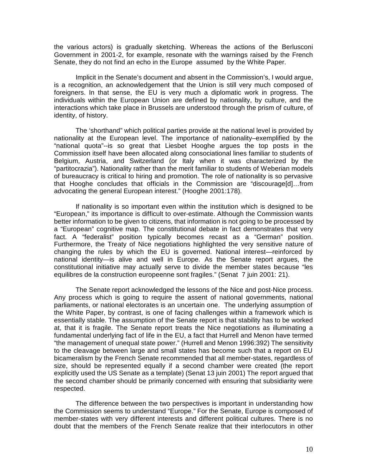the various actors) is gradually sketching. Whereas the actions of the Berlusconi Government in 2001-2, for example, resonate with the warnings raised by the French Senate, they do not find an echo in the Europe assumed by the White Paper.

Implicit in the Senate's document and absent in the Commission's, I would argue, is a recognition, an acknowledgement that the Union is still very much composed of foreigners. In that sense, the EU is very much a diplomatic work in progress. The individuals within the European Union are defined by nationality, by culture, and the interactions which take place in Brussels are understood through the prism of culture, of identity, of history.

The 'shorthand" which political parties provide at the national level is provided by nationality at the European level. The importance of nationality–exemplified by the "national quota"--is so great that Liesbet Hooghe argues the top posts in the Commission itself have been allocated along consociational lines familiar to students of Belgium, Austria, and Switzerland (or Italy when it was characterized by the "partitocrazia"). Nationality rather than the merit familiar to students of Weberian models of bureaucracy is critical to hiring and promotion. The role of nationality is so pervasive that Hooghe concludes that officials in the Commission are "discourage[d]… from advocating the general European interest." (Hooghe 2001:178).

If nationality is so important even within the institution which is designed to be "European," its importance is difficult to over-estimate. Although the Commission wants better information to be given to citizens, that information is not going to be processed by a "European" cognitive map. The constitutional debate in fact demonstrates that very fact. A "federalist" position typically becomes recast as a "German" position. Furthermore, the Treaty of Nice negotiations highlighted the very sensitive nature of changing the rules by which the EU is governed. National interest— reinforced by national identity— is alive and well in Europe. As the Senate report argues, the constitutional initiative may actually serve to divide the member states because "les equilibres de la construction europeenne sont fragiles." (Senat 7 juin 2001: 21).

The Senate report acknowledged the lessons of the Nice and post-Nice process. Any process which is going to require the assent of national governments, national parliaments, or national electorates is an uncertain one. The underlying assumption of the White Paper, by contrast, is one of facing challenges within a framework which is essentially stable. The assumption of the Senate report is that stability has to be worked at, that it is fragile. The Senate report treats the Nice negotiations as illuminating a fundamental underlying fact of life in the EU, a fact that Hurrell and Menon have termed "the management of unequal state power." (Hurrell and Menon 1996:392) The sensitivity to the cleavage between large and small states has become such that a report on EU bicameralism by the French Senate recommended that all member-states, regardless of size, should be represented equally if a second chamber were created (the report explicitly used the US Senate as a template) (Senat 13 juin 2001) The report argued that the second chamber should be primarily concerned with ensuring that subsidiarity were respected.

The difference between the two perspectives is important in understanding how the Commission seems to understand "Europe." For the Senate, Europe is composed of member-states with very different interests and different political cultures. There is no doubt that the members of the French Senate realize that their interlocutors in other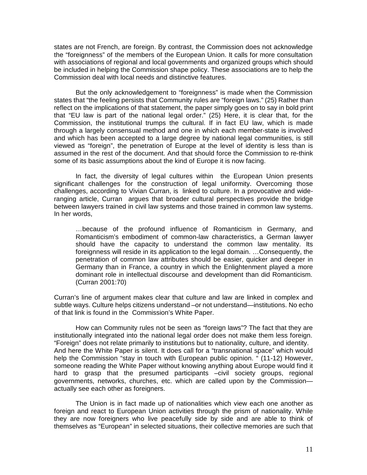states are not French, are foreign. By contrast, the Commission does not acknowledge the "foreignness" of the members of the European Union. It calls for more consultation with associations of regional and local governments and organized groups which should be included in helping the Commission shape policy. These associations are to help the Commission deal with local needs and distinctive features.

But the only acknowledgement to "foreignness" is made when the Commission states that "the feeling persists that Community rules are "foreign laws." (25) Rather than reflect on the implications of that statement, the paper simply goes on to say in bold print that "EU law is part of the national legal order." (25) Here, it is clear that, for the Commission, the institutional trumps the cultural. If in fact EU law, which is made through a largely consensual method and one in which each member-state is involved and which has been accepted to a large degree by national legal communities, is still viewed as "foreign", the penetration of Europe at the level of identity is less than is assumed in the rest of the document. And that should force the Commission to re-think some of its basic assumptions about the kind of Europe it is now facing.

In fact, the diversity of legal cultures within the European Union presents significant challenges for the construction of legal uniformity. Overcoming those challenges, according to Vivian Curran, is linked to culture. In a provocative and wideranging article, Curran argues that broader cultural perspectives provide the bridge between lawyers trained in civil law systems and those trained in common law systems. In her words,

… because of the profound influence of Romanticism in Germany, and Romanticism's embodiment of common-law characteristics, a German lawyer should have the capacity to understand the common law mentality. Its foreignness will reside in its application to the legal domain. … Consequently, the penetration of common law attributes should be easier, quicker and deeper in Germany than in France, a country in which the Enlightenment played a more dominant role in intellectual discourse and development than did Romanticism. (Curran 2001:70)

Curran's line of argument makes clear that culture and law are linked in complex and subtle ways. Culture helps citizens understand –or not understand— institutions. No echo of that link is found in the Commission's White Paper.

How can Community rules not be seen as "foreign laws"? The fact that they are institutionally integrated into the national legal order does not make them less foreign. "Foreign" does not relate primarily to institutions but to nationality, culture, and identity. And here the White Paper is silent. It does call for a "transnational space" which would help the Commission "stay in touch with European public opinion. " (11-12) However, someone reading the White Paper without knowing anything about Europe would find it hard to grasp that the presumed participants –civil society groups, regional governments, networks, churches, etc. which are called upon by the Commission actually see each other as foreigners.

The Union is in fact made up of nationalities which view each one another as foreign and react to European Union activities through the prism of nationality. While they are now foreigners who live peacefully side by side and are able to think of themselves as "European" in selected situations, their collective memories are such that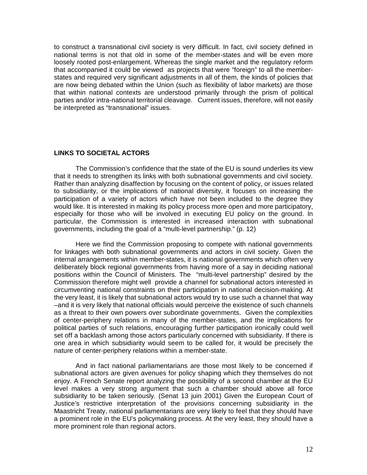to construct a transnational civil society is very difficult. In fact, civil society defined in national terms is not that old in some of the member-states and will be even more loosely rooted post-enlargement. Whereas the single market and the regulatory reform that accompanied it could be viewed as projects that were "foreign" to all the memberstates and required very significant adjustments in all of them, the kinds of policies that are now being debated within the Union (such as flexibility of labor markets) are those that within national contexts are understood primarily through the prism of political parties and/or intra-national territorial cleavage. Current issues, therefore, will not easily be interpreted as "transnational" issues.

### **LINKS TO SOCIETAL ACTORS**

The Commission's confidence that the state of the EU is sound underlies its view that it needs to strengthen its links with both subnational governments and civil society. Rather than analyzing disaffection by focusing on the content of policy, or issues related to subsidiarity, or the implications of national diversity, it focuses on increasing the participation of a variety of actors which have not been included to the degree they would like. It is interested in making its policy process more open and more participatory, especially for those who will be involved in executing EU policy on the ground. In particular, the Commission is interested in increased interaction with subnational governments, including the goal of a "multi-level partnership." (p. 12)

Here we find the Commission proposing to compete with national governments for linkages with both subnational governments and actors in civil society. Given the internal arrangements within member-states, it is national governments which often very deliberately block regional governments from having more of a say in deciding national positions within the Council of Ministers. The "multi-level partnership" desired by the Commission therefore might well provide a channel for subnational actors interested in circumventing national constraints on their participation in national decision-making. At the very least, it is likely that subnational actors would try to use such a channel that way –and it is very likely that national officials would perceive the existence of such channels as a threat to their own powers over subordinate governments. Given the complexities of center-periphery relations in many of the member-states, and the implications for political parties of such relations, encouraging further participation ironically could well set off a backlash among those actors particularly concerned with subsidiarity. If there is one area in which subsidiarity would seem to be called for, it would be precisely the nature of center-periphery relations within a member-state.

And in fact national parliamentarians are those most likely to be concerned if subnational actors are given avenues for policy shaping which they themselves do not enjoy. A French Senate report analyzing the possibility of a second chamber at the EU level makes a very strong argument that such a chamber should above all force subsidiarity to be taken seriously. (Senat 13 juin 2001) Given the European Court of Justice's restrictive interpretation of the provisions concerning subsidiarity in the Maastricht Treaty, national parliamentarians are very likely to feel that they should have a prominent role in the EU's policymaking process. At the very least, they should have a more prominent role than regional actors.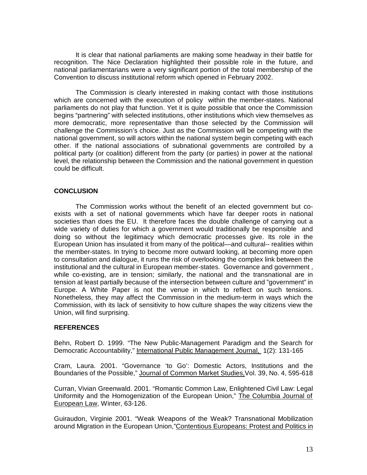It is clear that national parliaments are making some headway in their battle for recognition. The Nice Declaration highlighted their possible role in the future, and national parliamentarians were a very significant portion of the total membership of the Convention to discuss institutional reform which opened in February 2002.

The Commission is clearly interested in making contact with those institutions which are concerned with the execution of policy within the member-states. National parliaments do not play that function. Yet it is quite possible that once the Commission begins "partnering" with selected institutions, other institutions which view themselves as more democratic, more representative than those selected by the Commission will challenge the Commission's choice. Just as the Commission will be competing with the national government, so will actors within the national system begin competing with each other. If the national associations of subnational governments are controlled by a political party (or coalition) different from the party (or parties) in power at the national level, the relationship between the Commission and the national government in question could be difficult.

#### **CONCLUSION**

The Commission works without the benefit of an elected government but coexists with a set of national governments which have far deeper roots in national societies than does the EU. It therefore faces the double challenge of carrying out a wide variety of duties for which a government would traditionally be responsible and doing so without the legitimacy which democratic processes give. Its role in the European Union has insulated it from many of the political— and cultural-- realities within the member-states. In trying to become more outward looking, at becoming more open to consultation and dialogue, it runs the risk of overlooking the complex link between the institutional and the cultural in European member-states. Governance and government , while co-existing, are in tension; similarly, the national and the transnational are in tension at least partially because of the intersection between culture and "government" in Europe. A White Paper is not the venue in which to reflect on such tensions. Nonetheless, they may affect the Commission in the medium-term in ways which the Commission, with its lack of sensitivity to how culture shapes the way citizens view the Union, will find surprising.

#### **REFERENCES**

Behn, Robert D. 1999. "The New Public-Management Paradigm and the Search for Democratic Accountability," International Public Management Journal, 1(2): 131-165

Cram, Laura. 2001. "Governance 'to Go': Domestic Actors, Institutions and the Boundaries of the Possible," Journal of Common Market Studies,Vol. 39, No. 4, 595-618

Curran, Vivian Greenwald. 2001. "Romantic Common Law, Enlightened Civil Law: Legal Uniformity and the Homogenization of the European Union," The Columbia Journal of European Law, Winter, 63-126.

Guiraudon, Virginie 2001. "Weak Weapons of the Weak? Transnational Mobilization around Migration in the European Union,"Contentious Europeans: Protest and Politics in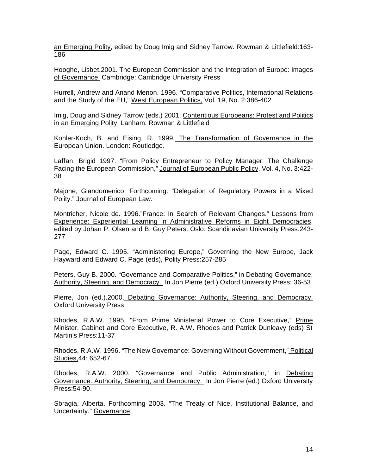an Emerging Polity, edited by Doug Imig and Sidney Tarrow. Rowman & Littlefield:163- 186

Hooghe, Lisbet.2001. The European Commission and the Integration of Europe: Images of Governance. Cambridge: Cambridge University Press

Hurrell, Andrew and Anand Menon. 1996. "Comparative Politics, International Relations and the Study of the EU," West European Politics, Vol. 19, No. 2:386-402

Imig, Doug and Sidney Tarrow (eds.) 2001. Contentious Europeans: Protest and Politics in an Emerging Polity Lanham: Rowman & Littlefield

Kohler-Koch, B. and Eising, R. 1999. The Transformation of Governance in the European Union. London: Routledge.

Laffan, Brigid 1997. "From Policy Entrepreneur to Policy Manager: The Challenge Facing the European Commission," Journal of European Public Policy. Vol. 4, No. 3:422- 38

Majone, Giandomenico. Forthcoming. "Delegation of Regulatory Powers in a Mixed Polity." Journal of European Law.

Montricher, Nicole de. 1996."France: In Search of Relevant Changes." Lessons from Experience: Experiential Learning in Administrative Reforms in Eight Democracies, edited by Johan P. Olsen and B. Guy Peters. Oslo: Scandinavian University Press:243- 277

Page, Edward C. 1995. "Administering Europe," Governing the New Europe, Jack Hayward and Edward C. Page (eds), Polity Press:257-285

Peters, Guy B. 2000. "Governance and Comparative Politics," in Debating Governance: Authority, Steering, and Democracy. In Jon Pierre (ed.) Oxford University Press: 36-53

Pierre, Jon (ed.).2000. Debating Governance: Authority, Steering, and Democracy. Oxford University Press

Rhodes, R.A.W. 1995. "From Prime Ministerial Power to Core Executive," Prime Minister, Cabinet and Core Executive, R. A.W. Rhodes and Patrick Dunleavy (eds) St Martin's Press:11-37

Rhodes, R.A.W. 1996. "The New Governance: Governing Without Government," Political Studies,44: 652-67.

Rhodes, R.A.W. 2000. "Governance and Public Administration," in Debating Governance: Authority, Steering, and Democracy. In Jon Pierre (ed.) Oxford University Press:54-90.

Sbragia, Alberta. Forthcoming 2003. "The Treaty of Nice, Institutional Balance, and Uncertainty." Governance.